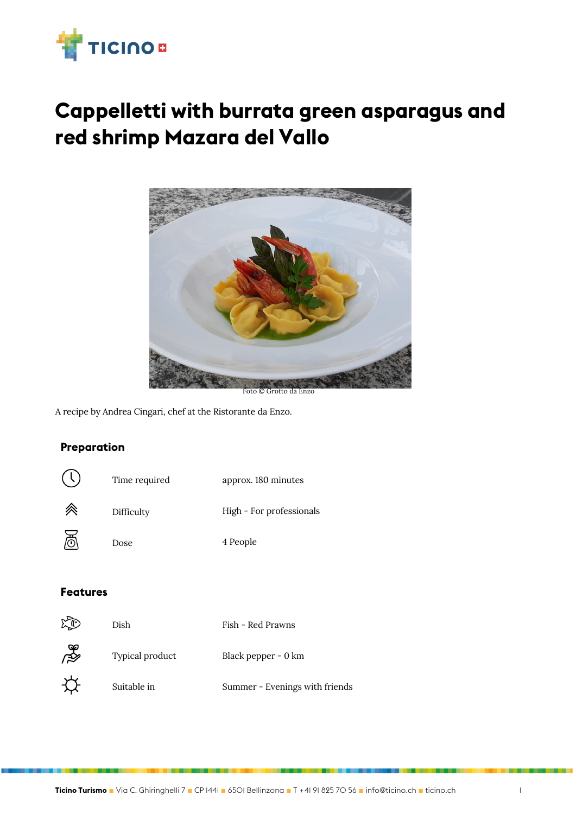

# **Cappelletti with burrata green asparagus and red shrimp Mazara del Vallo**



Foto © Grotto da Enzo

A recipe by Andrea Cingari, chef at the Ristorante da Enzo.

### **Preparation**



#### **Features**

|   | Dish            | Fish - Red Prawns              |
|---|-----------------|--------------------------------|
| ∦ | Typical product | Black pepper - 0 km            |
|   | Suitable in     | Summer - Evenings with friends |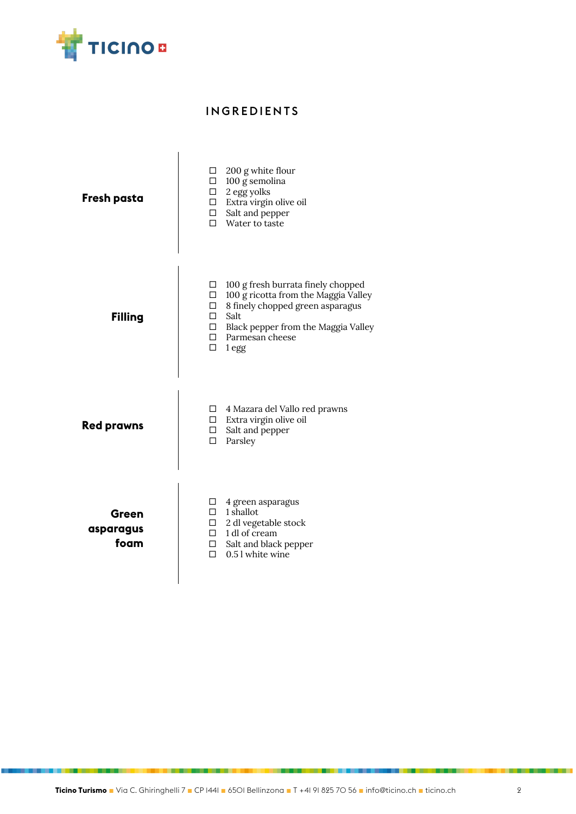

## INGREDIENTS

| Fresh pasta                | 200 g white flour<br>□<br>100 g semolina<br>□<br>$\Box$ 2 egg yolks<br>$\Box$ Extra virgin olive oil<br>Salt and pepper<br>$\Box$<br>п<br>Water to taste                                                                                         |
|----------------------------|--------------------------------------------------------------------------------------------------------------------------------------------------------------------------------------------------------------------------------------------------|
| <b>Filling</b>             | 100 g fresh burrata finely chopped<br>□<br>$\Box$<br>100 g ricotta from the Maggia Valley<br>8 finely chopped green asparagus<br>$\Box$<br>П<br>Salt<br>Black pepper from the Maggia Valley<br>$\Box$<br>Parmesan cheese<br>п<br>$\Box$<br>1 egg |
| <b>Red prawns</b>          | 4 Mazara del Vallo red prawns<br>□<br>Extra virgin olive oil<br>$\Box$<br>$\Box$<br>Salt and pepper<br>п<br>Parsley                                                                                                                              |
| Green<br>asparagus<br>foam | □<br>4 green asparagus<br>$\Box$ 1 shallot<br>$\Box$ 2 dl vegetable stock<br>$\Box$ 1 dl of cream<br>$\Box$<br>Salt and black pepper<br>0.5 l white wine<br>п                                                                                    |